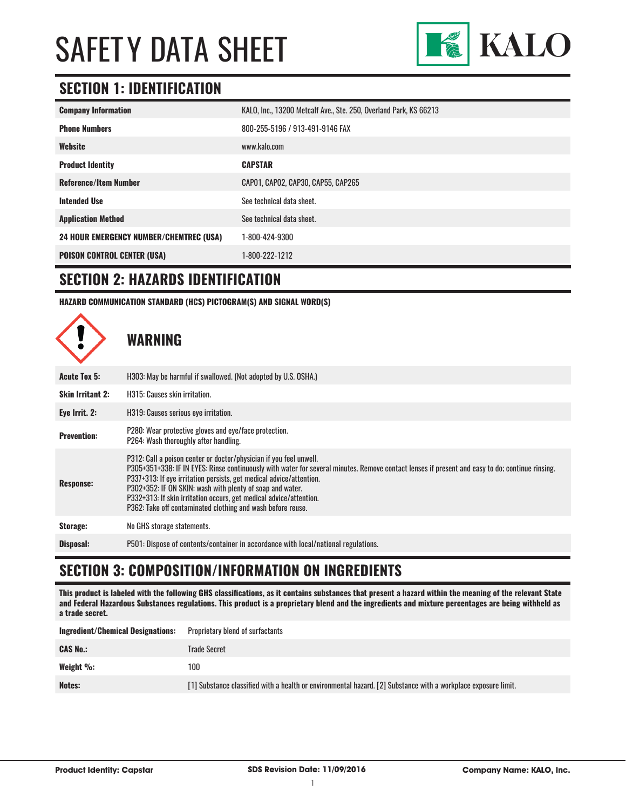

### **SECTION 1: IDENTIFICATION**

| <b>Company Information</b>                     | KALO, Inc., 13200 Metcalf Ave., Ste. 250, Overland Park, KS 66213 |
|------------------------------------------------|-------------------------------------------------------------------|
| <b>Phone Numbers</b>                           | 800-255-5196 / 913-491-9146 FAX                                   |
| Website                                        | www.kalo.com                                                      |
| <b>Product Identity</b>                        | <b>CAPSTAR</b>                                                    |
| <b>Reference/Item Number</b>                   | CAP01, CAP02, CAP30, CAP55, CAP265                                |
| <b>Intended Use</b>                            | See technical data sheet.                                         |
| <b>Application Method</b>                      | See technical data sheet.                                         |
| <b>24 HOUR EMERGENCY NUMBER/CHEMTREC (USA)</b> | 1-800-424-9300                                                    |
| <b>POISON CONTROL CENTER (USA)</b>             | 1-800-222-1212                                                    |

#### **SECTION 2: HAZARDS IDENTIFICATION**

**HAZARD COMMUNICATION STANDARD (HCS) PICTOGRAM(S) AND SIGNAL WORD(S)**



#### **SECTION 3: COMPOSITION/INFORMATION ON INGREDIENTS**

**This product is labeled with the following GHS classifications, as it contains substances that present a hazard within the meaning of the relevant State and Federal Hazardous Substances regulations. This product is a proprietary blend and the ingredients and mixture percentages are being withheld as a trade secret.**

| <b>Proprietary blend of surfactants</b>                                                                        |
|----------------------------------------------------------------------------------------------------------------|
| Trade Secret                                                                                                   |
| 100                                                                                                            |
| [1] Substance classified with a health or environmental hazard. [2] Substance with a workplace exposure limit. |
|                                                                                                                |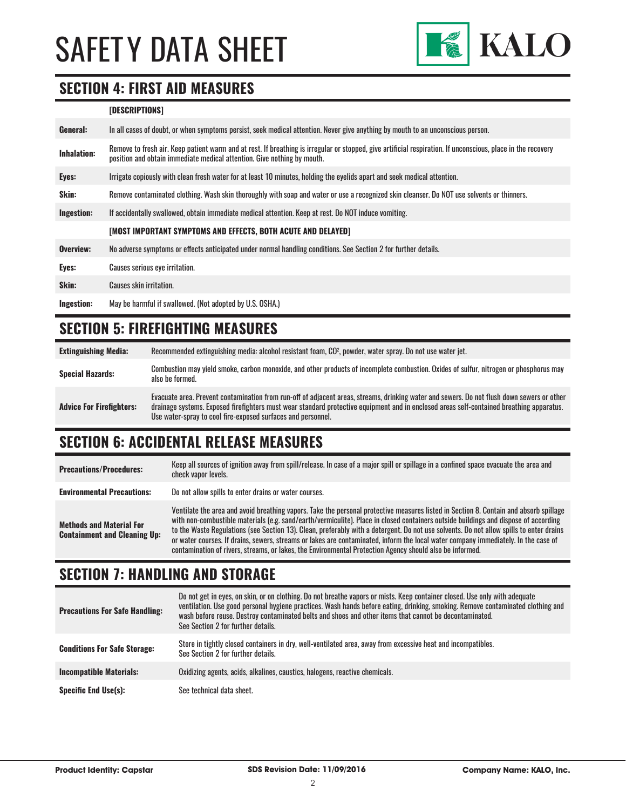

#### **SECTION 4: FIRST AID MEASURES**

#### **[DESCRIPTIONS]**

| General:           | In all cases of doubt, or when symptoms persist, seek medical attention. Never give anything by mouth to an unconscious person.                                                                                                         |
|--------------------|-----------------------------------------------------------------------------------------------------------------------------------------------------------------------------------------------------------------------------------------|
| <b>Inhalation:</b> | Remove to fresh air. Keep patient warm and at rest. If breathing is irregular or stopped, give artificial respiration. If unconscious, place in the recovery<br>position and obtain immediate medical attention. Give nothing by mouth. |
| Eyes:              | Irrigate copiously with clean fresh water for at least 10 minutes, holding the eyelids apart and seek medical attention.                                                                                                                |
| Skin:              | Remove contaminated clothing. Wash skin thoroughly with soap and water or use a recognized skin cleanser. Do NOT use solvents or thinners.                                                                                              |
| <b>Ingestion:</b>  | If accidentally swallowed, obtain immediate medical attention. Keep at rest, Do NOT induce vomiting.                                                                                                                                    |
|                    | [MOST IMPORTANT SYMPTOMS AND EFFECTS, BOTH ACUTE AND DELAYED]                                                                                                                                                                           |
| Overview:          | No adverse symptoms or effects anticipated under normal handling conditions. See Section 2 for further details.                                                                                                                         |
| Eyes:              | Causes serious eye irritation.                                                                                                                                                                                                          |
| Skin:              | Causes skin irritation.                                                                                                                                                                                                                 |
| Ingestion:         | May be harmful if swallowed. (Not adopted by U.S. OSHA.)                                                                                                                                                                                |

### **SECTION 5: FIREFIGHTING MEASURES**

| <b>Extinguishing Media:</b>     | Recommended extinguishing media: alcohol resistant foam, CO <sup>2</sup> , powder, water spray. Do not use water jet.                                                                                                                                                                                                                                  |
|---------------------------------|--------------------------------------------------------------------------------------------------------------------------------------------------------------------------------------------------------------------------------------------------------------------------------------------------------------------------------------------------------|
| <b>Special Hazards:</b>         | Combustion may yield smoke, carbon monoxide, and other products of incomplete combustion. Oxides of sulfur, nitrogen or phosphorus may<br>also be formed.                                                                                                                                                                                              |
| <b>Advice For Firefighters:</b> | Evacuate area. Prevent contamination from run-off of adjacent areas, streams, drinking water and sewers. Do not flush down sewers or other<br>drainage systems. Exposed firefighters must wear standard protective equipment and in enclosed areas self-contained breathing apparatus.<br>Use water-spray to cool fire-exposed surfaces and personnel. |

# **SECTION 6: ACCIDENTAL RELEASE MEASURES**

| <b>Precautions/Procedures:</b>                                         | Keep all sources of ignition away from spill/release. In case of a major spill or spillage in a confined space evacuate the area and<br>check vapor levels.                                                                                                                                                                                                                                                                                                                                                                                                                                                                                                               |
|------------------------------------------------------------------------|---------------------------------------------------------------------------------------------------------------------------------------------------------------------------------------------------------------------------------------------------------------------------------------------------------------------------------------------------------------------------------------------------------------------------------------------------------------------------------------------------------------------------------------------------------------------------------------------------------------------------------------------------------------------------|
| <b>Environmental Precautions:</b>                                      | Do not allow spills to enter drains or water courses.                                                                                                                                                                                                                                                                                                                                                                                                                                                                                                                                                                                                                     |
| <b>Methods and Material For</b><br><b>Containment and Cleaning Up:</b> | Ventilate the area and avoid breathing vapors. Take the personal protective measures listed in Section 8. Contain and absorb spillage<br>with non-combustible materials (e.g. sand/earth/vermiculite). Place in closed containers outside buildings and dispose of according<br>to the Waste Regulations (see Section 13). Clean, preferably with a detergent. Do not use solvents. Do not allow spills to enter drains<br>or water courses. If drains, sewers, streams or lakes are contaminated, inform the local water company immediately. In the case of<br>contamination of rivers, streams, or lakes, the Environmental Protection Agency should also be informed. |

#### **SECTION 7: HANDLING AND STORAGE**

| <b>Precautions For Safe Handling:</b> | Do not get in eyes, on skin, or on clothing. Do not breathe vapors or mists. Keep container closed. Use only with adequate<br>ventilation. Use good personal hygiene practices. Wash hands before eating, drinking, smoking. Remove contaminated clothing and<br>wash before reuse. Destroy contaminated belts and shoes and other items that cannot be decontaminated.<br>See Section 2 for further details. |
|---------------------------------------|---------------------------------------------------------------------------------------------------------------------------------------------------------------------------------------------------------------------------------------------------------------------------------------------------------------------------------------------------------------------------------------------------------------|
| <b>Conditions For Safe Storage:</b>   | Store in tightly closed containers in dry, well-ventilated area, away from excessive heat and incompatibles.<br>See Section 2 for further details.                                                                                                                                                                                                                                                            |
| <b>Incompatible Materials:</b>        | Oxidizing agents, acids, alkalines, caustics, halogens, reactive chemicals.                                                                                                                                                                                                                                                                                                                                   |
| <b>Specific End Use(s):</b>           | See technical data sheet.                                                                                                                                                                                                                                                                                                                                                                                     |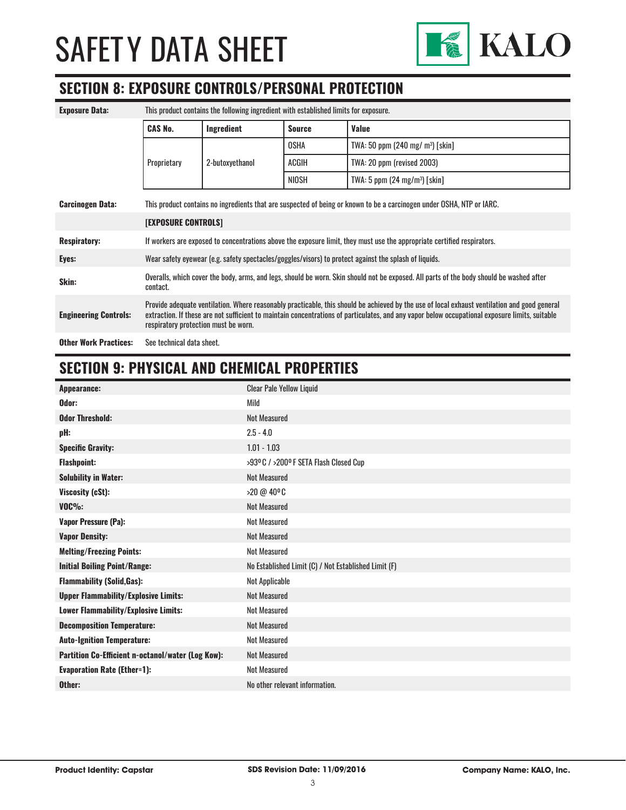

### **SECTION 8: EXPOSURE CONTROLS/PERSONAL PROTECTION**

| <b>Exposure Data:</b>        | This product contains the following ingredient with established limits for exposure.                                                                                                                                                                                                                                                   |                 |               |                                         |
|------------------------------|----------------------------------------------------------------------------------------------------------------------------------------------------------------------------------------------------------------------------------------------------------------------------------------------------------------------------------------|-----------------|---------------|-----------------------------------------|
|                              | <b>CAS No.</b>                                                                                                                                                                                                                                                                                                                         | Ingredient      | <b>Source</b> | <b>Value</b>                            |
|                              |                                                                                                                                                                                                                                                                                                                                        | 2-butoxyethanol | <b>OSHA</b>   | TWA: 50 ppm (240 mg/ $m^3$ ) [skin]     |
|                              | Proprietary                                                                                                                                                                                                                                                                                                                            |                 | ACGIH         | TWA: 20 ppm (revised 2003)              |
|                              |                                                                                                                                                                                                                                                                                                                                        |                 | NIOSH         | TWA: 5 ppm $(24 \text{ mg/m}^3)$ [skin] |
| <b>Carcinogen Data:</b>      | This product contains no ingredients that are suspected of being or known to be a carcinogen under OSHA, NTP or IARC.                                                                                                                                                                                                                  |                 |               |                                         |
|                              | <b>[EXPOSURE CONTROLS]</b>                                                                                                                                                                                                                                                                                                             |                 |               |                                         |
| <b>Respiratory:</b>          | If workers are exposed to concentrations above the exposure limit, they must use the appropriate certified respirators.                                                                                                                                                                                                                |                 |               |                                         |
| Eyes:                        | Wear safety eyewear (e.g. safety spectacles/goggles/visors) to protect against the splash of liquids.                                                                                                                                                                                                                                  |                 |               |                                         |
| Skin:                        | Overalls, which cover the body, arms, and legs, should be worn. Skin should not be exposed. All parts of the body should be washed after<br>contact.                                                                                                                                                                                   |                 |               |                                         |
| <b>Engineering Controls:</b> | Provide adequate ventilation. Where reasonably practicable, this should be achieved by the use of local exhaust ventilation and good general<br>extraction. If these are not sufficient to maintain concentrations of particulates, and any vapor below occupational exposure limits, suitable<br>respiratory protection must be worn. |                 |               |                                         |
| <b>Other Work Practices:</b> | See technical data sheet.                                                                                                                                                                                                                                                                                                              |                 |               |                                         |

#### **SECTION 9: PHYSICAL AND CHEMICAL PROPERTIES**

| Appearance:                                       | <b>Clear Pale Yellow Liquid</b>                      |
|---------------------------------------------------|------------------------------------------------------|
| Odor:                                             | Mild                                                 |
| <b>Odor Threshold:</b>                            | <b>Not Measured</b>                                  |
| pH:                                               | $2.5 - 4.0$                                          |
| <b>Specific Gravity:</b>                          | $1.01 - 1.03$                                        |
| <b>Flashpoint:</b>                                | >93º C / >200º F SETA Flash Closed Cup               |
| <b>Solubility in Water:</b>                       | <b>Not Measured</b>                                  |
| Viscosity (cSt):                                  | >20 @ 40°C                                           |
| $VOC\%$ :                                         | <b>Not Measured</b>                                  |
| <b>Vapor Pressure (Pa):</b>                       | <b>Not Measured</b>                                  |
| <b>Vapor Density:</b>                             | <b>Not Measured</b>                                  |
| <b>Melting/Freezing Points:</b>                   | <b>Not Measured</b>                                  |
| <b>Initial Boiling Point/Range:</b>               | No Established Limit (C) / Not Established Limit (F) |
| <b>Flammability (Solid,Gas):</b>                  | Not Applicable                                       |
| <b>Upper Flammability/Explosive Limits:</b>       | <b>Not Measured</b>                                  |
| <b>Lower Flammability/Explosive Limits:</b>       | <b>Not Measured</b>                                  |
| <b>Decomposition Temperature:</b>                 | <b>Not Measured</b>                                  |
| <b>Auto-Ignition Temperature:</b>                 | <b>Not Measured</b>                                  |
| Partition Co-Efficient n-octanol/water (Log Kow): | <b>Not Measured</b>                                  |
| <b>Evaporation Rate (Ether=1):</b>                | <b>Not Measured</b>                                  |
| Other:                                            | No other relevant information.                       |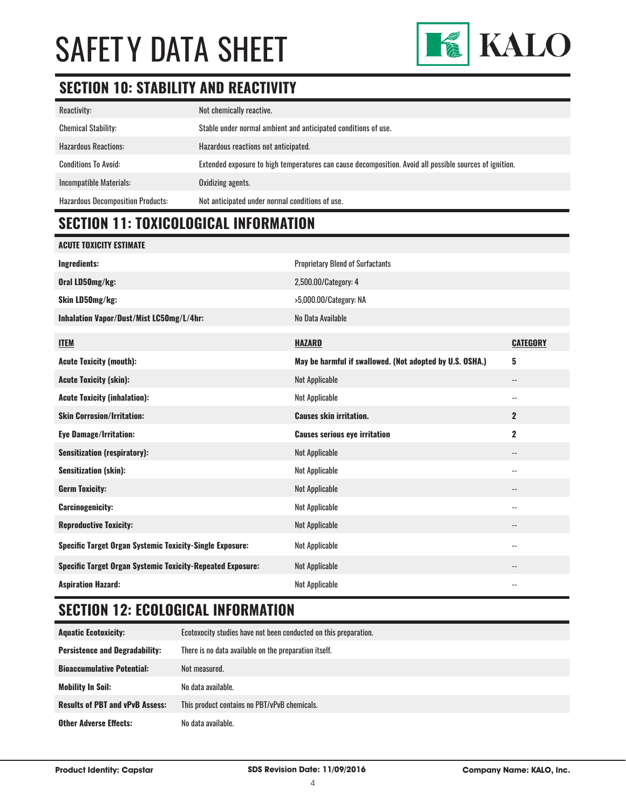

### **SECTION 10: STABILITY AND REACTIVITY**

| Reactivity:                              | Not chemically reactive.                                                                                |
|------------------------------------------|---------------------------------------------------------------------------------------------------------|
| <b>Chemical Stability:</b>               | Stable under normal ambient and anticipated conditions of use.                                          |
| <b>Hazardous Reactions:</b>              | Hazardous reactions not anticipated.                                                                    |
| <b>Conditions To Avoid:</b>              | Extended exposure to high temperatures can cause decomposition. Avoid all possible sources of ignition. |
| Incompatible Materials:                  | Oxidizing agents.                                                                                       |
| <b>Hazardous Decomposition Products:</b> | Not anticipated under normal conditions of use.                                                         |

# **SECTION 11: TOXICOLOGICAL INFORMATION**

| <b>ACUTE TOXICITY ESTIMATE</b>                                    |                                                          |                          |
|-------------------------------------------------------------------|----------------------------------------------------------|--------------------------|
| <b>Ingredients:</b>                                               | <b>Proprietary Blend of Surfactants</b>                  |                          |
| Oral LD50mg/kg:                                                   | 2,500.00/Category: 4                                     |                          |
| Skin LD50mg/kg:                                                   | >5,000.00/Category: NA                                   |                          |
| Inhalation Vapor/Dust/Mist LC50mg/L/4hr:                          | No Data Available                                        |                          |
| <b>ITEM</b>                                                       | <b>HAZARD</b>                                            | <b>CATEGORY</b>          |
| <b>Acute Toxicity (mouth):</b>                                    | May be harmful if swallowed. (Not adopted by U.S. OSHA.) | 5                        |
| <b>Acute Toxicity (skin):</b>                                     | <b>Not Applicable</b>                                    | $\overline{\phantom{a}}$ |
| <b>Acute Toxicity (inhalation):</b>                               | <b>Not Applicable</b>                                    | $\overline{\phantom{a}}$ |
| <b>Skin Corrosion/Irritation:</b>                                 | <b>Causes skin irritation.</b>                           | $\mathbf{2}$             |
| <b>Eye Damage/Irritation:</b>                                     | <b>Causes serious eye irritation</b>                     | $\mathbf 2$              |
| <b>Sensitization (respiratory):</b>                               | <b>Not Applicable</b>                                    | $\overline{\phantom{a}}$ |
| <b>Sensitization (skin):</b>                                      | <b>Not Applicable</b>                                    | $-$                      |
| <b>Germ Toxicity:</b>                                             | <b>Not Applicable</b>                                    | $-$                      |
| <b>Carcinogenicity:</b>                                           | <b>Not Applicable</b>                                    | $\overline{\phantom{m}}$ |
| <b>Reproductive Toxicity:</b>                                     | <b>Not Applicable</b>                                    | $\overline{\phantom{a}}$ |
| <b>Specific Target Organ Systemic Toxicity-Single Exposure:</b>   | <b>Not Applicable</b>                                    | $-$                      |
| <b>Specific Target Organ Systemic Toxicity-Repeated Exposure:</b> | <b>Not Applicable</b>                                    | --                       |
| <b>Aspiration Hazard:</b>                                         | <b>Not Applicable</b>                                    | $-$                      |

# **SECTION 12: ECOLOGICAL INFORMATION**

| <b>Aquatic Ecotoxicity:</b>            | Ecotoxocity studies have not been conducted on this preparation. |
|----------------------------------------|------------------------------------------------------------------|
| <b>Persistence and Degradability:</b>  | There is no data available on the preparation itself.            |
| <b>Bioaccumulative Potential:</b>      | Not measured.                                                    |
| <b>Mobility In Soil:</b>               | No data available.                                               |
| <b>Results of PBT and vPvB Assess:</b> | This product contains no PBT/vPvB chemicals.                     |
| <b>Other Adverse Effects:</b>          | No data available.                                               |